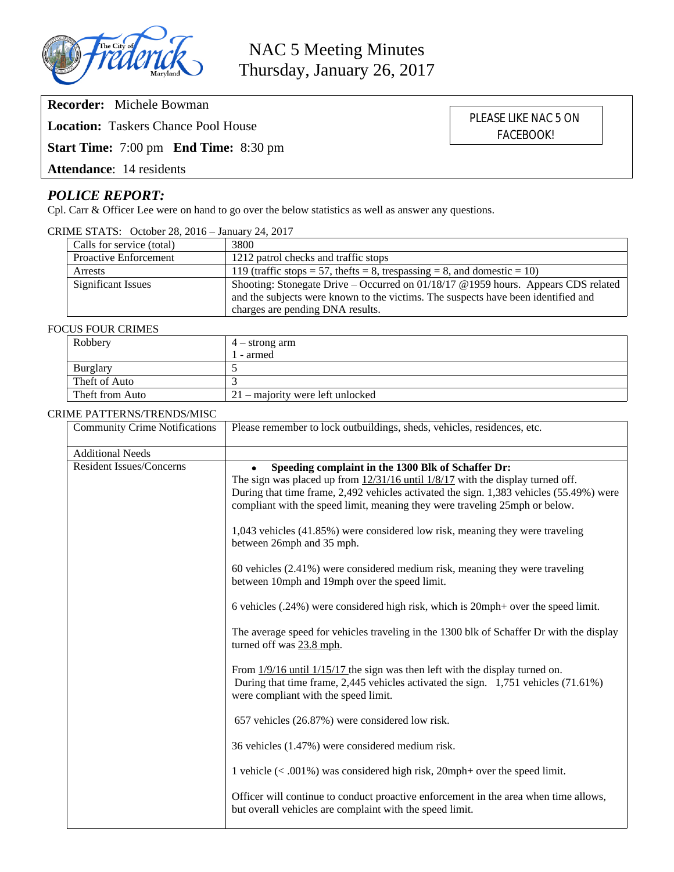

**Recorder:** Michele Bowman

**Location:** Taskers Chance Pool House

**Start Time:** 7:00 pm **End Time:** 8:30 pm

**Attendance**: 14 residents

# *POLICE REPORT:*

Cpl. Carr & Officer Lee were on hand to go over the below statistics as well as answer any questions.

CRIME STATS: October 28, 2016 – January 24, 2017

| Calls for service (total)    | 3800                                                                                 |
|------------------------------|--------------------------------------------------------------------------------------|
| <b>Proactive Enforcement</b> | 1212 patrol checks and traffic stops                                                 |
| Arrests                      | 119 (traffic stops = 57, the fts = 8, trespassing = 8, and domestic = 10)            |
| <b>Significant Issues</b>    | Shooting: Stonegate Drive – Occurred on $01/18/17$ @ 1959 hours. Appears CDS related |
|                              | and the subjects were known to the victims. The suspects have been identified and    |
|                              | charges are pending DNA results.                                                     |

#### FOCUS FOUR CRIMES

| Robbery         | $4 -$ strong arm                   |
|-----------------|------------------------------------|
|                 | - armed                            |
| <b>Burglary</b> |                                    |
| Theft of Auto   |                                    |
| Theft from Auto | $21$ – majority were left unlocked |

#### CRIME PATTERNS/TRENDS/MISC

| <b>Community Crime Notifications</b> | Please remember to lock outbuildings, sheds, vehicles, residences, etc.                                                                                                                                                                                                                                            |  |
|--------------------------------------|--------------------------------------------------------------------------------------------------------------------------------------------------------------------------------------------------------------------------------------------------------------------------------------------------------------------|--|
| <b>Additional Needs</b>              |                                                                                                                                                                                                                                                                                                                    |  |
| <b>Resident Issues/Concerns</b>      | Speeding complaint in the 1300 Blk of Schaffer Dr:<br>The sign was placed up from $12/31/16$ until $1/8/17$ with the display turned off.<br>During that time frame, 2,492 vehicles activated the sign. 1,383 vehicles (55.49%) were<br>compliant with the speed limit, meaning they were traveling 25mph or below. |  |
|                                      | 1,043 vehicles (41.85%) were considered low risk, meaning they were traveling<br>between 26mph and 35 mph.                                                                                                                                                                                                         |  |
|                                      | 60 vehicles (2.41%) were considered medium risk, meaning they were traveling<br>between 10mph and 19mph over the speed limit.                                                                                                                                                                                      |  |
|                                      | 6 vehicles (.24%) were considered high risk, which is 20mph+ over the speed limit.                                                                                                                                                                                                                                 |  |
|                                      | The average speed for vehicles traveling in the 1300 blk of Schaffer Dr with the display<br>turned off was 23.8 mph.                                                                                                                                                                                               |  |
|                                      | From $1/9/16$ until $1/15/17$ the sign was then left with the display turned on.<br>During that time frame, 2,445 vehicles activated the sign. 1,751 vehicles (71.61%)<br>were compliant with the speed limit.                                                                                                     |  |
|                                      | 657 vehicles (26.87%) were considered low risk.                                                                                                                                                                                                                                                                    |  |
|                                      | 36 vehicles (1.47%) were considered medium risk.                                                                                                                                                                                                                                                                   |  |
|                                      | 1 vehicle $(<.001\%)$ was considered high risk, 20mph+ over the speed limit.                                                                                                                                                                                                                                       |  |
|                                      | Officer will continue to conduct proactive enforcement in the area when time allows,<br>but overall vehicles are complaint with the speed limit.                                                                                                                                                                   |  |

PLEASE LIKE NAC 5 ON FACEBOOK!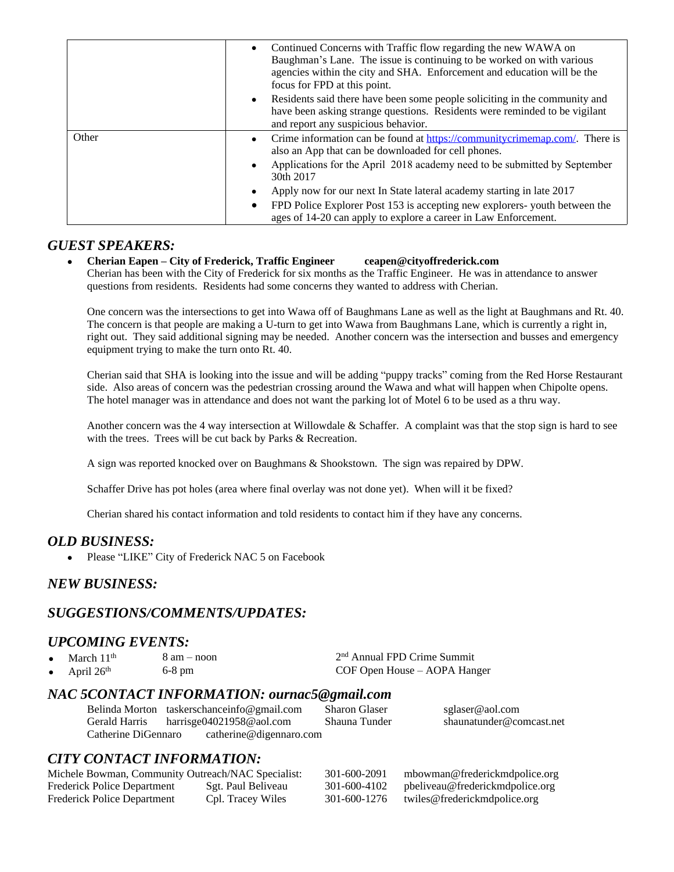|       | Continued Concerns with Traffic flow regarding the new WAWA on<br>$\bullet$<br>Baughman's Lane. The issue is continuing to be worked on with various<br>agencies within the city and SHA. Enforcement and education will be the<br>focus for FPD at this point.           |
|-------|---------------------------------------------------------------------------------------------------------------------------------------------------------------------------------------------------------------------------------------------------------------------------|
|       | • Residents said there have been some people soliciting in the community and<br>have been asking strange questions. Residents were reminded to be vigilant<br>and report any suspicious behavior.                                                                         |
| Other | • Crime information can be found at $\frac{https://communit/rcrimeman.com/}{https://communit/rcrimeman.com/}$ . There is<br>also an App that can be downloaded for cell phones.<br>Applications for the April 2018 academy need to be submitted by September<br>30th 2017 |
|       | Apply now for our next In State lateral academy starting in late 2017<br>FPD Police Explorer Post 153 is accepting new explorers-youth between the<br>$\bullet$<br>ages of 14-20 can apply to explore a career in Law Enforcement.                                        |

### *GUEST SPEAKERS:*

 **Cherian Eapen – City of Frederick, Traffic Engineer ceapen@cityoffrederick.com** Cherian has been with the City of Frederick for six months as the Traffic Engineer. He was in attendance to answer questions from residents. Residents had some concerns they wanted to address with Cherian.

One concern was the intersections to get into Wawa off of Baughmans Lane as well as the light at Baughmans and Rt. 40. The concern is that people are making a U-turn to get into Wawa from Baughmans Lane, which is currently a right in, right out. They said additional signing may be needed. Another concern was the intersection and busses and emergency equipment trying to make the turn onto Rt. 40.

Cherian said that SHA is looking into the issue and will be adding "puppy tracks" coming from the Red Horse Restaurant side. Also areas of concern was the pedestrian crossing around the Wawa and what will happen when Chipolte opens. The hotel manager was in attendance and does not want the parking lot of Motel 6 to be used as a thru way.

Another concern was the 4 way intersection at Willowdale & Schaffer. A complaint was that the stop sign is hard to see with the trees. Trees will be cut back by Parks & Recreation.

A sign was reported knocked over on Baughmans & Shookstown. The sign was repaired by DPW.

Schaffer Drive has pot holes (area where final overlay was not done yet). When will it be fixed?

Cherian shared his contact information and told residents to contact him if they have any concerns.

## *OLD BUSINESS:*

• Please "LIKE" City of Frederick NAC 5 on Facebook

## *NEW BUSINESS:*

## *SUGGESTIONS/COMMENTS/UPDATES:*

## *UPCOMING EVENTS:*

| $\bullet$ | March 11 <sup>th</sup> | $8 \text{ am} - \text{noon}$ | 2 <sup>nd</sup> Annual FPD Crime Summit |
|-----------|------------------------|------------------------------|-----------------------------------------|
|           | • April $26th$         | $6-8$ pm                     | COF Open House – AOPA Hanger            |

#### *NAC 5CONTACT INFORMATION: ournac5@gmail.com*

|                     | Belinda Morton taskerschanceinfo@gmail.com | <b>Sharon Glaser</b> | sglaser@aol.com          |  |
|---------------------|--------------------------------------------|----------------------|--------------------------|--|
| Gerald Harris       | harrisge $04021958@$ aol.com               | Shauna Tunder        | shaunatunder@comcast.net |  |
| Catherine DiGennaro | catherine@digennaro.com                    |                      |                          |  |

## *CITY CONTACT INFORMATION:*

| Michele Bowman, Community Outreach/NAC Specialist: |                    | 301-600-2091 | mbowman@frederickmdpolice.org   |
|----------------------------------------------------|--------------------|--------------|---------------------------------|
| <b>Frederick Police Department</b>                 | Sgt. Paul Beliveau | 301-600-4102 | pbeliveau@frederickmdpolice.org |
| <b>Frederick Police Department</b>                 | Cpl. Tracey Wiles  | 301-600-1276 | twiles@frederickmdpolice.org    |